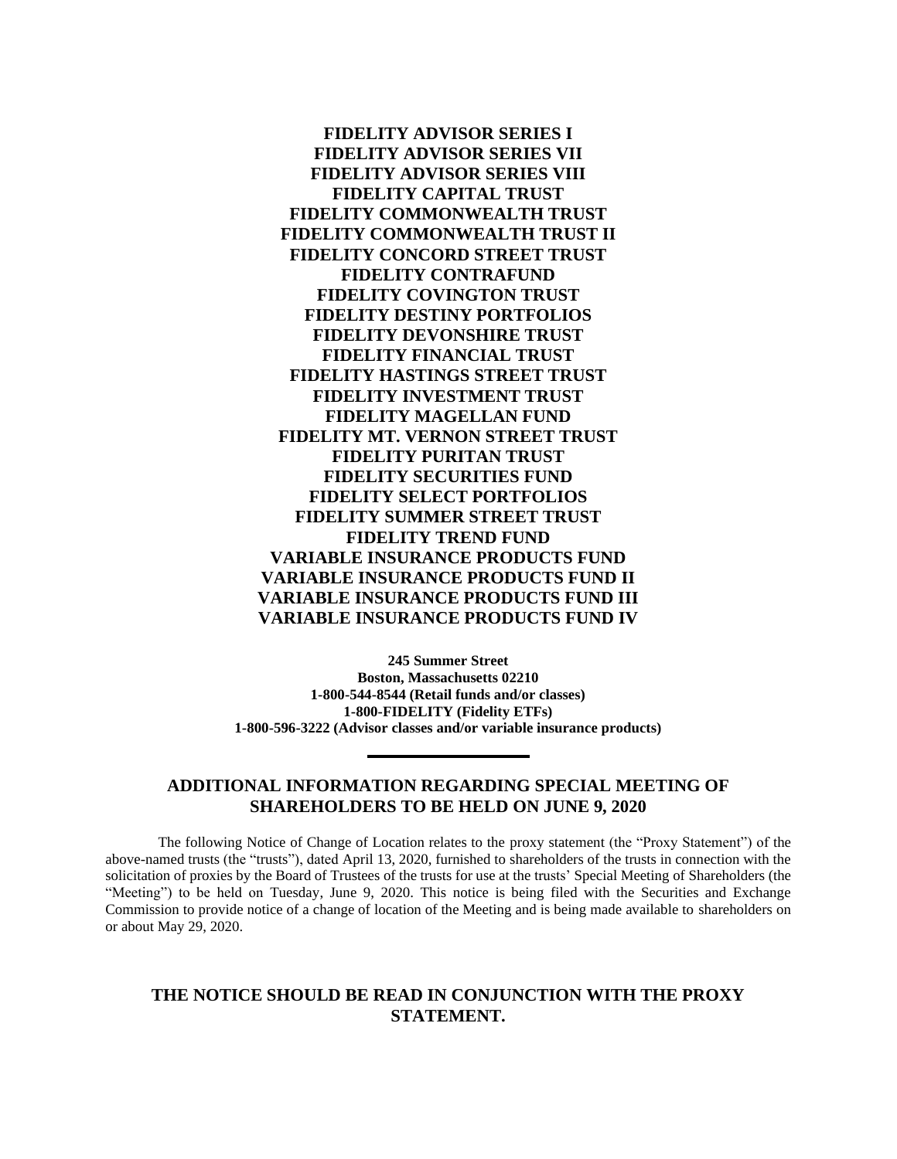**FIDELITY ADVISOR SERIES I FIDELITY ADVISOR SERIES VII FIDELITY ADVISOR SERIES VIII FIDELITY CAPITAL TRUST FIDELITY COMMONWEALTH TRUST FIDELITY COMMONWEALTH TRUST II FIDELITY CONCORD STREET TRUST FIDELITY CONTRAFUND FIDELITY COVINGTON TRUST FIDELITY DESTINY PORTFOLIOS FIDELITY DEVONSHIRE TRUST FIDELITY FINANCIAL TRUST FIDELITY HASTINGS STREET TRUST FIDELITY INVESTMENT TRUST FIDELITY MAGELLAN FUND FIDELITY MT. VERNON STREET TRUST FIDELITY PURITAN TRUST FIDELITY SECURITIES FUND FIDELITY SELECT PORTFOLIOS FIDELITY SUMMER STREET TRUST FIDELITY TREND FUND VARIABLE INSURANCE PRODUCTS FUND VARIABLE INSURANCE PRODUCTS FUND II VARIABLE INSURANCE PRODUCTS FUND III VARIABLE INSURANCE PRODUCTS FUND IV**

**245 Summer Street Boston, Massachusetts 02210 1-800-544-8544 (Retail funds and/or classes) 1-800-FIDELITY (Fidelity ETFs) 1-800-596-3222 (Advisor classes and/or variable insurance products)**

## **ADDITIONAL INFORMATION REGARDING SPECIAL MEETING OF SHAREHOLDERS TO BE HELD ON JUNE 9, 2020**

The following Notice of Change of Location relates to the proxy statement (the "Proxy Statement") of the above-named trusts (the "trusts"), dated April 13, 2020, furnished to shareholders of the trusts in connection with the solicitation of proxies by the Board of Trustees of the trusts for use at the trusts' Special Meeting of Shareholders (the "Meeting") to be held on Tuesday, June 9, 2020. This notice is being filed with the Securities and Exchange Commission to provide notice of a change of location of the Meeting and is being made available to shareholders on or about May 29, 2020.

## **THE NOTICE SHOULD BE READ IN CONJUNCTION WITH THE PROXY STATEMENT.**